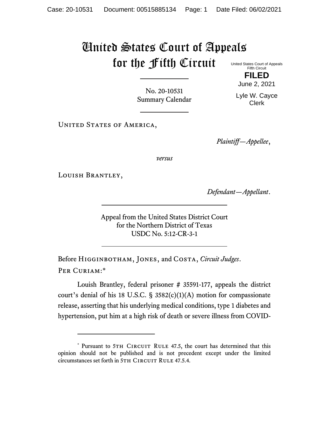## United States Court of Appeals for the Fifth Circuit United States Court of Appeals

Fifth Circuit **FILED**

June 2, 2021

No. 20-10531 Summary Calendar

Lyle W. Cayce Clerk

UNITED STATES OF AMERICA,

*Plaintiff—Appellee*,

*versus*

Louish Brantley,

*Defendant—Appellant*.

Appeal from the United States District Court for the Northern District of Texas USDC No. 5:12-CR-3-1

Before Higginbotham, Jones, and Costa, *Circuit Judges*. Per Curiam:\*

Louish Brantley, federal prisoner # 35591-177, appeals the district court's denial of his 18 U.S.C. § 3582 $(c)(1)(A)$  motion for compassionate release, asserting that his underlying medical conditions, type 1 diabetes and hypertension, put him at a high risk of death or severe illness from COVID-

<sup>\*</sup> Pursuant to 5TH CIRCUIT RULE 47.5, the court has determined that this opinion should not be published and is not precedent except under the limited circumstances set forth in 5TH CIRCUIT RULE 47.5.4.